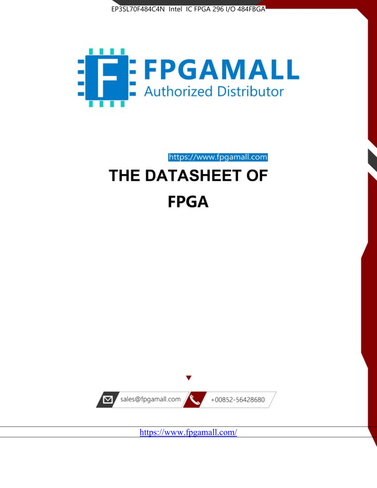



https://www.fpgamall.com

# THE DATASHEET OF **FPGA**



<https://www.fpgamall.com/>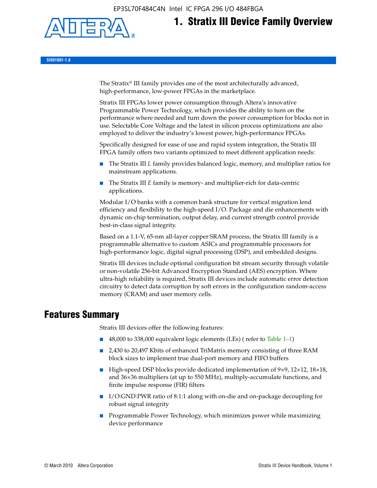EP3SL70F484C4N Intel IC FPGA 296 I/O 484FBGA



# **1. Stratix III Device Family Overview**

**SIII51001-1.8**

The Stratix® III family provides one of the most architecturally advanced, high-performance, low-power FPGAs in the marketplace.

Stratix III FPGAs lower power consumption through Altera's innovative Programmable Power Technology, which provides the ability to turn on the performance where needed and turn down the power consumption for blocks not in use. Selectable Core Voltage and the latest in silicon process optimizations are also employed to deliver the industry's lowest power, high-performance FPGAs.

Specifically designed for ease of use and rapid system integration, the Stratix III FPGA family offers two variants optimized to meet different application needs:

- The Stratix III *L* family provides balanced logic, memory, and multiplier ratios for mainstream applications.
- The Stratix III *E* family is memory- and multiplier-rich for data-centric applications.

Modular I/O banks with a common bank structure for vertical migration lend efficiency and flexibility to the high-speed I/O. Package and die enhancements with dynamic on-chip termination, output delay, and current strength control provide best-in-class signal integrity.

Based on a 1.1-V, 65-nm all-layer copper SRAM process, the Stratix III family is a programmable alternative to custom ASICs and programmable processors for high-performance logic, digital signal processing (DSP), and embedded designs.

Stratix III devices include optional configuration bit stream security through volatile or non-volatile 256-bit Advanced Encryption Standard (AES) encryption. Where ultra-high reliability is required, Stratix III devices include automatic error detection circuitry to detect data corruption by soft errors in the configuration random-access memory (CRAM) and user memory cells.

## **Features Summary**

Stratix III devices offer the following features:

- 48,000 to 338,000 equivalent logic elements (LEs) (refer to Table 1–1)
- 2,430 to 20,497 Kbits of enhanced TriMatrix memory consisting of three RAM block sizes to implement true dual-port memory and FIFO buffers
- High-speed DSP blocks provide dedicated implementation of 9×9, 12×12, 18×18, and 36×36 multipliers (at up to 550 MHz), multiply-accumulate functions, and finite impulse response (FIR) filters
- I/O:GND:PWR ratio of 8:1:1 along with on-die and on-package decoupling for robust signal integrity
- Programmable Power Technology, which minimizes power while maximizing device performance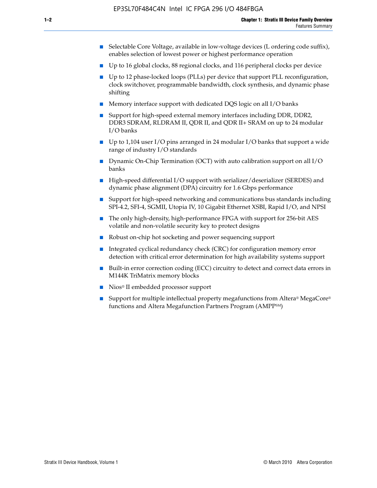- Selectable Core Voltage, available in low-voltage devices (L ordering code suffix), enables selection of lowest power or highest performance operation
- Up to 16 global clocks, 88 regional clocks, and 116 peripheral clocks per device
- Up to 12 phase-locked loops (PLLs) per device that support PLL reconfiguration, clock switchover, programmable bandwidth, clock synthesis, and dynamic phase shifting
- Memory interface support with dedicated DQS logic on all I/O banks
- Support for high-speed external memory interfaces including DDR, DDR2, DDR3 SDRAM, RLDRAM II, QDR II, and QDR II+ SRAM on up to 24 modular I/O banks
- Up to 1,104 user I/O pins arranged in 24 modular I/O banks that support a wide range of industry I/O standards
- Dynamic On-Chip Termination (OCT) with auto calibration support on all  $I/O$ banks
- High-speed differential I/O support with serializer/deserializer (SERDES) and dynamic phase alignment (DPA) circuitry for 1.6 Gbps performance
- Support for high-speed networking and communications bus standards including SPI-4.2, SFI-4, SGMII, Utopia IV, 10 Gigabit Ethernet XSBI, Rapid I/O, and NPSI
- The only high-density, high-performance FPGA with support for 256-bit AES volatile and non-volatile security key to protect designs
- Robust on-chip hot socketing and power sequencing support
- Integrated cyclical redundancy check (CRC) for configuration memory error detection with critical error determination for high availability systems support
- Built-in error correction coding (ECC) circuitry to detect and correct data errors in M144K TriMatrix memory blocks
- Nios<sup>®</sup> II embedded processor support
- Support for multiple intellectual property megafunctions from Altera® MegaCore® functions and Altera Megafunction Partners Program (AMPPSM)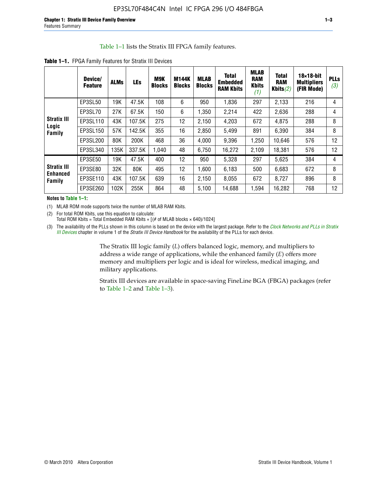#### Table 1–1 lists the Stratix III FPGA family features.

|                                          | Device/<br><b>Feature</b> | <b>ALMs</b> | <b>LEs</b> | <b>M9K</b><br><b>Blocks</b> | M144K<br><b>Blocks</b> | <b>MLAB</b><br><b>Blocks</b> | <b>Total</b><br><b>Embedded</b><br><b>RAM Kbits</b> | <b>MLAB</b><br><b>RAM</b><br><b>Kbits</b><br>(1) | <b>Total</b><br><b>RAM</b><br>Kbits $(2)$ | $18\times18$ -bit<br><b>Multipliers</b><br>(FIR Mode) | <b>PLLs</b><br>(3) |
|------------------------------------------|---------------------------|-------------|------------|-----------------------------|------------------------|------------------------------|-----------------------------------------------------|--------------------------------------------------|-------------------------------------------|-------------------------------------------------------|--------------------|
|                                          | EP3SL50                   | 19K         | 47.5K      | 108                         | 6                      | 950                          | 1,836                                               | 297                                              | 2,133                                     | 216                                                   | 4                  |
|                                          | EP3SL70                   | 27K         | 67.5K      | 150                         | 6                      | 1,350                        | 2,214                                               | 422                                              | 2,636                                     | 288                                                   | 4                  |
| <b>Stratix III</b>                       | EP3SL110                  | 43K         | 107.5K     | 275                         | 12                     | 2,150                        | 4,203                                               | 672                                              | 4,875                                     | 288                                                   | 8                  |
| Logic<br>Family                          | EP3SL150                  | 57K         | 142.5K     | 355                         | 16                     | 2,850                        | 5,499                                               | 891                                              | 6,390                                     | 384                                                   | 8                  |
|                                          | EP3SL200                  | 80K         | 200K       | 468                         | 36                     | 4,000                        | 9,396                                               | 1,250                                            | 10,646                                    | 576                                                   | 12                 |
|                                          | EP3SL340                  | 135K        | 337.5K     | 1,040                       | 48                     | 6,750                        | 16,272                                              | 2,109                                            | 18,381                                    | 576                                                   | 12                 |
|                                          | EP3SE50                   | 19K         | 47.5K      | 400                         | 12                     | 950                          | 5,328                                               | 297                                              | 5,625                                     | 384                                                   | 4                  |
| <b>Stratix III</b><br>Enhanced<br>Family | EP3SE80                   | 32K         | 80K        | 495                         | 12                     | 1,600                        | 6,183                                               | 500                                              | 6,683                                     | 672                                                   | 8                  |
|                                          | EP3SE110                  | 43K         | 107.5K     | 639                         | 16                     | 2,150                        | 8.055                                               | 672                                              | 8,727                                     | 896                                                   | 8                  |
|                                          | EP3SE260                  | 102K        | 255K       | 864                         | 48                     | 5,100                        | 14,688                                              | 1,594                                            | 16,282                                    | 768                                                   | 12                 |

**Table 1–1.** FPGA Family Features for Stratix III Devices

**Notes to Table 1–1:**

(1) MLAB ROM mode supports twice the number of MLAB RAM Kbits.

(2) For total ROM Kbits, use this equation to calculate: Total ROM Kbits = Total Embedded RAM Kbits +  $[(# of MLAB blocks × 640)/1024]$ 

(3) The availability of the PLLs shown in this column is based on the device with the largest package. Refer to the *[Clock Networks and PLLs in Stratix](http://www.altera.com/literature/hb/stx3/stx3_siii51006.pdf)  [III Devices](http://www.altera.com/literature/hb/stx3/stx3_siii51006.pdf)* chapter in volume 1 of the *Stratix III Device Handbook* for the availability of the PLLs for each device.

> The Stratix III logic family (*L*) offers balanced logic, memory, and multipliers to address a wide range of applications, while the enhanced family (*E*) offers more memory and multipliers per logic and is ideal for wireless, medical imaging, and military applications.

Stratix III devices are available in space-saving FineLine BGA (FBGA) packages (refer to Table 1–2 and Table 1–3).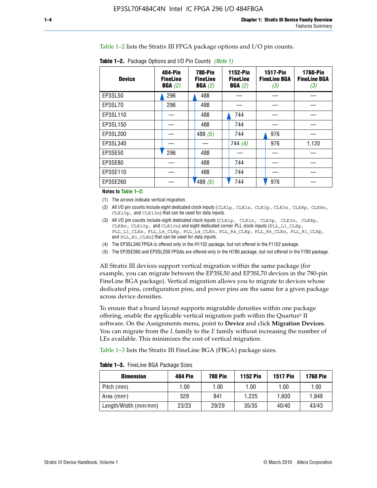Table 1–2 lists the Stratix III FPGA package options and I/O pin counts.

| <b>Table 1–2.</b> Package Options and I/O Pin Counts <i>(Note 1)</i> |  |  |
|----------------------------------------------------------------------|--|--|
|----------------------------------------------------------------------|--|--|

| <b>Device</b> | 484-Pin<br><b>FineLine</b><br>BGA(2) | <b>780-Pin</b><br><b>FineLine</b><br>BGA(2) | 1152-Pin<br><b>FineLine</b><br>BGA(2) | <b>1517-Pin</b><br><b>FineLine BGA</b><br>(3) | <b>1760-Pin</b><br><b>FineLine BGA</b><br>(3) |
|---------------|--------------------------------------|---------------------------------------------|---------------------------------------|-----------------------------------------------|-----------------------------------------------|
| EP3SL50       | 296                                  | 488                                         |                                       |                                               |                                               |
| EP3SL70       | 296                                  | 488                                         |                                       |                                               |                                               |
| EP3SL110      |                                      | 488                                         | 744                                   |                                               |                                               |
| EP3SL150      |                                      | 488                                         | 744                                   |                                               |                                               |
| EP3SL200      |                                      | 488 $(5)$                                   | 744                                   | 976                                           |                                               |
| EP3SL340      |                                      |                                             | 744 $(4)$                             | 976                                           | 1,120                                         |
| EP3SE50       | 296                                  | 488                                         |                                       |                                               |                                               |
| EP3SE80       |                                      | 488                                         | 744                                   |                                               |                                               |
| EP3SE110      |                                      | 488                                         | 744                                   |                                               |                                               |
| EP3SE260      |                                      | '488(5)                                     | 744                                   | 976                                           |                                               |

#### **Notes to Table 1–2:**

(1) The arrows indicate vertical migration.

- (2) All I/O pin counts include eight dedicated clock inputs (CLK1p, CLK1n, CLK3p, CLK3n, CLK8p, CLK8n, CLK10p, and CLK10n) that can be used for data inputs.
- (3) All I/O pin counts include eight dedicated clock inputs (CLK1p, CLK1n, CLK3p, CLK3n, CLK8p, CLK8n, CLK10p, and CLK10n) and eight dedicated corner PLL clock inputs (PLL\_L1\_CLKp, PLL\_L1\_CLKn, PLL\_L4\_CLKp, PLL\_L4\_CLKn, PLL\_R4\_CLKp, PLL\_R4\_CLKn, PLL\_R1\_CLKp, and PLL\_R1\_CLKn) that can be used for data inputs.
- (4) The EP3SL340 FPGA is offered only in the H1152 package, but not offered in the F1152 package.
- (5) The EP3SE260 and EP3SL200 FPGAs are offered only in the H780 package, but not offered in the F780 package.

All Stratix III devices support vertical migration within the same package (for example, you can migrate between the EP3SL50 and EP3SL70 devices in the 780-pin FineLine BGA package). Vertical migration allows you to migrate to devices whose dedicated pins, configuration pins, and power pins are the same for a given package across device densities.

To ensure that a board layout supports migratable densities within one package offering, enable the applicable vertical migration path within the Quartus® II software. On the Assignments menu, point to **Device** and click **Migration Devices**. You can migrate from the *L* family to the *E* family without increasing the number of LEs available. This minimizes the cost of vertical migration.

Table 1–3 lists the Stratix III FineLine BGA (FBGA) package sizes.

|  |  | <b>Table 1-3.</b> FineLine BGA Package Sizes |
|--|--|----------------------------------------------|
|--|--|----------------------------------------------|

| <b>Dimension</b>     | <b>484 Pin</b> | 780 Pin | <b>1152 Pin</b> | <b>1517 Pin</b> | <b>1760 Pin</b> |
|----------------------|----------------|---------|-----------------|-----------------|-----------------|
| Pitch (mm)           | 1.00           | 1.00    | 1.00            | 1.00            | 1.00            |
| Area $(mm^2)$        | 529            | 841     | 1.225           | 1.600           | 1.849           |
| Length/Width (mm/mm) | 23/23          | 29/29   | 35/35           | 40/40           | 43/43           |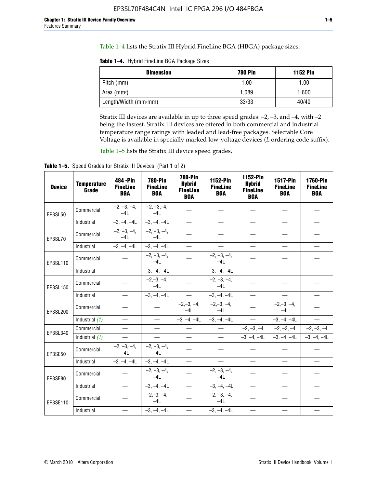Table 1–4 lists the Stratix III Hybrid FineLine BGA (HBGA) package sizes.

**Table 1–4.** Hybrid FineLine BGA Package Sizes

| <b>Dimension</b>     | <b>780 Pin</b> | <b>1152 Pin</b> |
|----------------------|----------------|-----------------|
| Pitch (mm)           | 1.00           | 1.00            |
| Area $(mm^2)$        | 1.089          | 1.600           |
| Length/Width (mm/mm) | 33/33          | 40/40           |

Stratix III devices are available in up to three speed grades: –2, –3, and –4, with –2 being the fastest. Stratix III devices are offered in both commercial and industrial temperature range ratings with leaded and lead-free packages. Selectable Core Voltage is available in specially marked low-voltage devices (*L* ordering code suffix).

Table 1–5 lists the Stratix III device speed grades.

Table 1-5. Speed Grades for Stratix III Devices (Part 1 of 2)

| <b>Device</b> | <b>Temperature</b><br>Grade | 484 - Pin<br><b>FineLine</b><br><b>BGA</b> | <b>780-Pin</b><br><b>FineLine</b><br><b>BGA</b> | <b>780-Pin</b><br><b>Hybrid</b><br><b>FineLine</b><br><b>BGA</b> | 1152-Pin<br><b>FineLine</b><br><b>BGA</b> | 1152-Pin<br><b>Hybrid</b><br><b>FineLine</b><br><b>BGA</b> | 1517-Pin<br><b>FineLine</b><br><b>BGA</b> | 1760-Pin<br><b>FineLine</b><br><b>BGA</b> |
|---------------|-----------------------------|--------------------------------------------|-------------------------------------------------|------------------------------------------------------------------|-------------------------------------------|------------------------------------------------------------|-------------------------------------------|-------------------------------------------|
| EP3SL50       | Commercial                  | $-2, -3, -4,$<br>$-4L$                     | $-2, -3, -4,$<br>$-4L$                          |                                                                  |                                           |                                                            |                                           |                                           |
|               | Industrial                  | $-3, -4, -4L$                              | $-3, -4, -4L$                                   | $\equiv$                                                         | $\equiv$                                  | $\equiv$                                                   | $\equiv$                                  | $\equiv$                                  |
| EP3SL70       | Commercial                  | $-2, -3, -4,$<br>$-41$                     | $-2, -3, -4,$<br>$-41$                          |                                                                  |                                           |                                                            |                                           |                                           |
|               | Industrial                  | $-3, -4, -4L$                              | $-3, -4, -4L$                                   | $\equiv$                                                         | $\overline{\phantom{0}}$                  | $\overline{\phantom{0}}$                                   | $\overline{\phantom{0}}$                  | $\overline{\phantom{0}}$                  |
| EP3SL110      | Commercial                  |                                            | $-2, -3, -4,$<br>$-4L$                          |                                                                  | $-2, -3, -4,$<br>$-4L$                    |                                                            |                                           |                                           |
|               | Industrial                  | $\equiv$                                   | $-3, -4, -4L$                                   | $\frac{1}{1}$                                                    | $-3, -4, -4L$                             | $\frac{1}{2}$                                              | $\equiv$                                  | $\overline{\phantom{0}}$                  |
| EP3SL150      | Commercial                  |                                            | $-2, -3, -4,$<br>$-41$                          |                                                                  | $-2, -3, -4,$<br>$-41$                    |                                                            |                                           |                                           |
|               | Industrial                  |                                            | $-3, -4, -4L$                                   | $\equiv$                                                         | $-3, -4, -4L$                             |                                                            |                                           | $\equiv$                                  |
| EP3SL200      | Commercial                  |                                            |                                                 | $-2, -3, -4,$<br>$-4L$                                           | $-2, -3, -4,$<br>$-4L$                    |                                                            | $-2,-3,-4,$<br>$-4L$                      |                                           |
|               | Industrial (1)              | $\equiv$                                   | $\equiv$                                        | $-3, -4, -4L$                                                    | $-3, -4, -4L$                             | $\frac{1}{2}$                                              | $-3, -4, -4L$                             | $\overline{\phantom{0}}$                  |
| EP3SL340      | Commercial                  | $\equiv$                                   | $\qquad \qquad$                                 | $\overbrace{\phantom{12322111}}$                                 | $\overline{\phantom{m}}$                  |                                                            | $-2, -3, -4$ $-2, -3, -4$                 | $-2, -3, -4$                              |
|               | Industrial (1)              | $\overline{\phantom{m}}$                   | $\equiv$                                        | $\equiv$                                                         | $-$                                       |                                                            | $-3, -4, -4$ $-4$ $-3, -4, -4$            | $-3, -4, -4L$                             |
| EP3SE50       | Commercial                  | $-2, -3, -4,$<br>$-4L$                     | $-2, -3, -4,$<br>$-4L$                          |                                                                  |                                           |                                                            |                                           |                                           |
|               | Industrial                  | $-3, -4, -4L$                              | $-3, -4, -4L$                                   | $\equiv$                                                         | $\overline{\phantom{0}}$                  |                                                            |                                           | $\overline{\phantom{0}}$                  |
| EP3SE80       | Commercial                  |                                            | $-2, -3, -4,$<br>$-41$                          |                                                                  | $-2, -3, -4,$<br>$-41$                    |                                                            |                                           |                                           |
|               | Industrial                  | $\overline{\phantom{m}}$                   | $-3, -4, -4L$                                   | $\overbrace{\phantom{1232211}}$                                  | $-3, -4, -4L$                             |                                                            | $\equiv$                                  |                                           |
| EP3SE110      | Commercial                  |                                            | $-2, -3, -4,$<br>$-4L$                          |                                                                  | $-2, -3, -4,$<br>$-41$                    |                                                            |                                           |                                           |
|               | Industrial                  |                                            | $-3, -4, -4L$                                   | $\overline{\phantom{0}}$                                         | $-3, -4, -4L$                             |                                                            |                                           |                                           |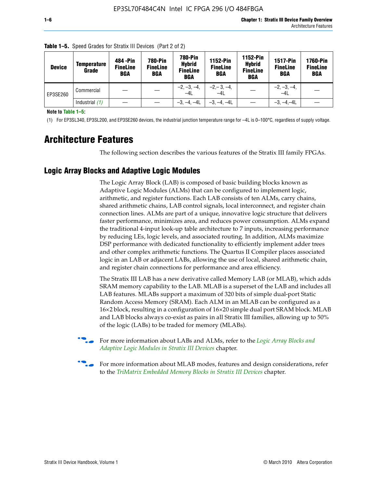| <b>Device</b> | <b>Temperature</b><br>Grade | 484 - Pin<br><b>FineLine</b><br><b>BGA</b> | <b>780-Pin</b><br><b>FineLine</b><br><b>BGA</b> | 780-Pin<br><b>Hybrid</b><br><b>FineLine</b><br><b>BGA</b> | 1152-Pin<br><b>FineLine</b><br><b>BGA</b> | 1152-Pin<br><b>Hybrid</b><br><b>FineLine</b><br><b>BGA</b> | <b>1517-Pin</b><br><b>FineLine</b><br><b>BGA</b> | <b>1760-Pin</b><br><b>FineLine</b><br>BGA |
|---------------|-----------------------------|--------------------------------------------|-------------------------------------------------|-----------------------------------------------------------|-------------------------------------------|------------------------------------------------------------|--------------------------------------------------|-------------------------------------------|
| EP3SE260      | Commercial                  |                                            |                                                 | $-2, -3, -4,$<br>$-4L$                                    | $-2, -3, -4,$<br>$-4L$                    |                                                            | $-2, -3, -4,$<br>$-4L$                           |                                           |
|               | Industrial $(1)$            |                                            |                                                 | $-3, -4, -4L$                                             | $-3, -4, -4L$                             |                                                            | $-3, -4, -4L$                                    |                                           |

**Table 1–5.** Speed Grades for Stratix III Devices (Part 2 of 2)

**Note to Table 1–5:**

(1) For EP3SL340, EP3SL200, and EP3SE260 devices, the industrial junction temperature range for –4L is 0–100°C, regardless of supply voltage.

# **Architecture Features**

The following section describes the various features of the Stratix III family FPGAs.

## **Logic Array Blocks and Adaptive Logic Modules**

The Logic Array Block (LAB) is composed of basic building blocks known as Adaptive Logic Modules (ALMs) that can be configured to implement logic, arithmetic, and register functions. Each LAB consists of ten ALMs, carry chains, shared arithmetic chains, LAB control signals, local interconnect, and register chain connection lines. ALMs are part of a unique, innovative logic structure that delivers faster performance, minimizes area, and reduces power consumption. ALMs expand the traditional 4-input look-up table architecture to 7 inputs, increasing performance by reducing LEs, logic levels, and associated routing. In addition, ALMs maximize DSP performance with dedicated functionality to efficiently implement adder trees and other complex arithmetic functions. The Quartus II Compiler places associated logic in an LAB or adjacent LABs, allowing the use of local, shared arithmetic chain, and register chain connections for performance and area efficiency.

The Stratix III LAB has a new derivative called Memory LAB (or MLAB), which adds SRAM memory capability to the LAB. MLAB is a superset of the LAB and includes all LAB features. MLABs support a maximum of 320 bits of simple dual-port Static Random Access Memory (SRAM). Each ALM in an MLAB can be configured as a 16×2 block, resulting in a configuration of 16×20 simple dual port SRAM block. MLAB and LAB blocks always co-exist as pairs in all Stratix III families, allowing up to 50% of the logic (LABs) to be traded for memory (MLABs).



f For more information about LABs and ALMs, refer to the *[Logic Array Blocks and](http://www.altera.com/literature/hb/stx3/stx3_siii51002.pdf)  [Adaptive Logic Modules in Stratix III Devices](http://www.altera.com/literature/hb/stx3/stx3_siii51002.pdf)* chapter.



For more information about MLAB modes, features and design considerations, refer to the *[TriMatrix Embedded Memory Blocks in Stratix III Devices](http://www.altera.com/literature/hb/stx3/stx3_siii51004.pdf)* chapter.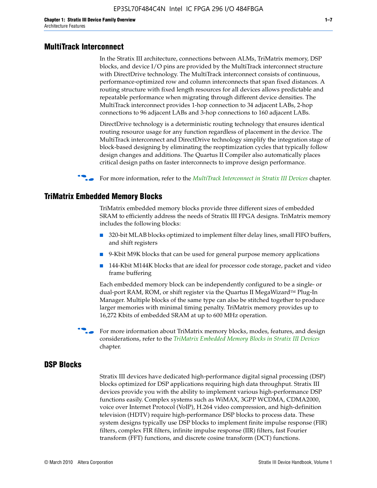#### **MultiTrack Interconnect**

In the Stratix III architecture, connections between ALMs, TriMatrix memory, DSP blocks, and device I/O pins are provided by the MultiTrack interconnect structure with DirectDrive technology. The MultiTrack interconnect consists of continuous, performance-optimized row and column interconnects that span fixed distances. A routing structure with fixed length resources for all devices allows predictable and repeatable performance when migrating through different device densities. The MultiTrack interconnect provides 1-hop connection to 34 adjacent LABs, 2-hop connections to 96 adjacent LABs and 3-hop connections to 160 adjacent LABs.

DirectDrive technology is a deterministic routing technology that ensures identical routing resource usage for any function regardless of placement in the device. The MultiTrack interconnect and DirectDrive technology simplify the integration stage of block-based designing by eliminating the reoptimization cycles that typically follow design changes and additions. The Quartus II Compiler also automatically places critical design paths on faster interconnects to improve design performance.

#### f For more information, refer to the *[MultiTrack Interconnect in Stratix III Devices](http://www.altera.com/literature/hb/stx3/stx3_siii51003.pdf)* chapter.

#### **TriMatrix Embedded Memory Blocks**

TriMatrix embedded memory blocks provide three different sizes of embedded SRAM to efficiently address the needs of Stratix III FPGA designs. TriMatrix memory includes the following blocks:

- 320-bit MLAB blocks optimized to implement filter delay lines, small FIFO buffers, and shift registers
- 9-Kbit M9K blocks that can be used for general purpose memory applications
- 144-Kbit M144K blocks that are ideal for processor code storage, packet and video frame buffering

Each embedded memory block can be independently configured to be a single- or dual-port RAM, ROM, or shift register via the Quartus II MegaWizard™ Plug-In Manager. Multiple blocks of the same type can also be stitched together to produce larger memories with minimal timing penalty. TriMatrix memory provides up to 16,272 Kbits of embedded SRAM at up to 600 MHz operation.

For more information about TriMatrix memory blocks, modes, features, and design considerations, refer to the *[TriMatrix Embedded Memory Blocks in Stratix III Devices](http://www.altera.com/literature/hb/stx3/stx3_siii51004.pdf)* chapter.

#### **DSP Blocks**

Stratix III devices have dedicated high-performance digital signal processing (DSP) blocks optimized for DSP applications requiring high data throughput. Stratix III devices provide you with the ability to implement various high-performance DSP functions easily. Complex systems such as WiMAX, 3GPP WCDMA, CDMA2000, voice over Internet Protocol (VoIP), H.264 video compression, and high-definition television (HDTV) require high-performance DSP blocks to process data. These system designs typically use DSP blocks to implement finite impulse response (FIR) filters, complex FIR filters, infinite impulse response (IIR) filters, fast Fourier transform (FFT) functions, and discrete cosine transform (DCT) functions.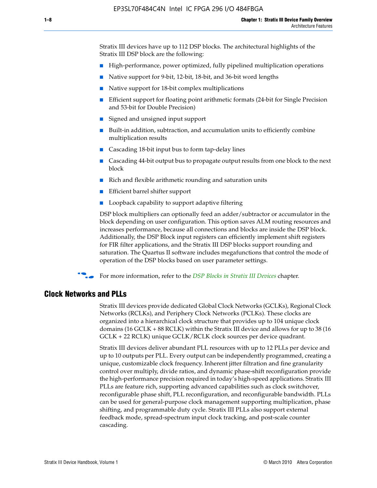Stratix III devices have up to 112 DSP blocks. The architectural highlights of the Stratix III DSP block are the following:

- High-performance, power optimized, fully pipelined multiplication operations
- Native support for 9-bit, 12-bit, 18-bit, and 36-bit word lengths
- Native support for 18-bit complex multiplications
- Efficient support for floating point arithmetic formats (24-bit for Single Precision and 53-bit for Double Precision)
- Signed and unsigned input support
- Built-in addition, subtraction, and accumulation units to efficiently combine multiplication results
- Cascading 18-bit input bus to form tap-delay lines
- Cascading 44-bit output bus to propagate output results from one block to the next block
- Rich and flexible arithmetic rounding and saturation units
- Efficient barrel shifter support
- Loopback capability to support adaptive filtering

DSP block multipliers can optionally feed an adder/subtractor or accumulator in the block depending on user configuration. This option saves ALM routing resources and increases performance, because all connections and blocks are inside the DSP block. Additionally, the DSP Block input registers can efficiently implement shift registers for FIR filter applications, and the Stratix III DSP blocks support rounding and saturation. The Quartus II software includes megafunctions that control the mode of operation of the DSP blocks based on user parameter settings.

f For more information, refer to the *[DSP Blocks in Stratix III Devices](http://www.altera.com/literature/hb/stx3/stx3_siii51005.pdf)* chapter.

#### **Clock Networks and PLLs**

Stratix III devices provide dedicated Global Clock Networks (GCLKs), Regional Clock Networks (RCLKs), and Periphery Clock Networks (PCLKs). These clocks are organized into a hierarchical clock structure that provides up to 104 unique clock domains (16 GCLK + 88 RCLK) within the Stratix III device and allows for up to 38 (16 GCLK + 22 RCLK) unique GCLK/RCLK clock sources per device quadrant.

Stratix III devices deliver abundant PLL resources with up to 12 PLLs per device and up to 10 outputs per PLL. Every output can be independently programmed, creating a unique, customizable clock frequency. Inherent jitter filtration and fine granularity control over multiply, divide ratios, and dynamic phase-shift reconfiguration provide the high-performance precision required in today's high-speed applications. Stratix III PLLs are feature rich, supporting advanced capabilities such as clock switchover, reconfigurable phase shift, PLL reconfiguration, and reconfigurable bandwidth. PLLs can be used for general-purpose clock management supporting multiplication, phase shifting, and programmable duty cycle. Stratix III PLLs also support external feedback mode, spread-spectrum input clock tracking, and post-scale counter cascading.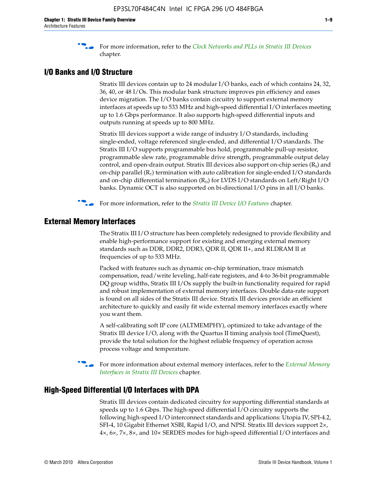f For more information, refer to the *[Clock Networks and PLLs in Stratix III Devices](http://www.altera.com/literature/hb/stx3/stx3_siii51006.pdf)* chapter.

## **I/O Banks and I/O Structure**

Stratix III devices contain up to 24 modular I/O banks, each of which contains 24, 32, 36, 40, or 48 I/Os. This modular bank structure improves pin efficiency and eases device migration. The I/O banks contain circuitry to support external memory interfaces at speeds up to 533 MHz and high-speed differential I/O interfaces meeting up to 1.6 Gbps performance. It also supports high-speed differential inputs and outputs running at speeds up to 800 MHz.

Stratix III devices support a wide range of industry I/O standards, including single-ended, voltage referenced single-ended, and differential I/O standards. The Stratix III I/O supports programmable bus hold, programmable pull-up resistor, programmable slew rate, programmable drive strength, programmable output delay control, and open-drain output. Stratix III devices also support on-chip series  $(R<sub>s</sub>)$  and on-chip parallel  $(R_T)$  termination with auto calibration for single-ended I/O standards and on-chip differential termination  $(R_D)$  for LVDS I/O standards on Left/Right I/O banks. Dynamic OCT is also supported on bi-directional I/O pins in all I/O banks.

**For more information, refer to the** *[Stratix III Device I/O Features](http://www.altera.com/literature/hb/stx3/stx3_siii51007.pdf)* **chapter.** 

## **External Memory Interfaces**

The Stratix III I/O structure has been completely redesigned to provide flexibility and enable high-performance support for existing and emerging external memory standards such as DDR, DDR2, DDR3, QDR II, QDR II+, and RLDRAM II at frequencies of up to 533 MHz.

Packed with features such as dynamic on-chip termination, trace mismatch compensation, read/write leveling, half-rate registers, and 4-to 36-bit programmable DQ group widths, Stratix III I/Os supply the built-in functionality required for rapid and robust implementation of external memory interfaces. Double data-rate support is found on all sides of the Stratix III device. Stratix III devices provide an efficient architecture to quickly and easily fit wide external memory interfaces exactly where you want them.

A self-calibrating soft IP core (ALTMEMPHY), optimized to take advantage of the Stratix III device I/O, along with the Quartus II timing analysis tool (TimeQuest), provide the total solution for the highest reliable frequency of operation across process voltage and temperature.

f For more information about external memory interfaces, refer to the *[External Memory](http://www.altera.com/literature/hb/stx3/stx3_siii51008.pdf)  [Interfaces in Stratix III Devices](http://www.altera.com/literature/hb/stx3/stx3_siii51008.pdf)* chapter.

## **High-Speed Differential I/O Interfaces with DPA**

Stratix III devices contain dedicated circuitry for supporting differential standards at speeds up to 1.6 Gbps. The high-speed differential I/O circuitry supports the following high-speed I/O interconnect standards and applications: Utopia IV, SPI-4.2, SFI-4, 10 Gigabit Ethernet XSBI, Rapid I/O, and NPSI. Stratix III devices support 2×, 4×, 6×, 7×, 8×, and 10× SERDES modes for high-speed differential I/O interfaces and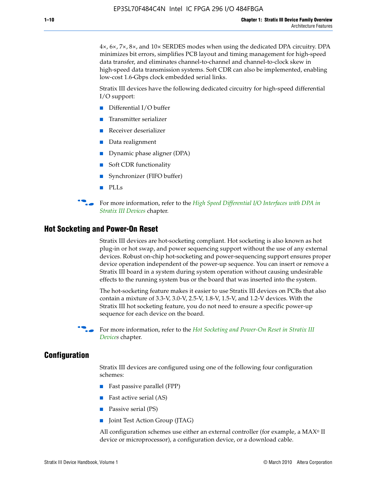4×, 6×, 7×, 8×, and 10× SERDES modes when using the dedicated DPA circuitry. DPA minimizes bit errors, simplifies PCB layout and timing management for high-speed data transfer, and eliminates channel-to-channel and channel-to-clock skew in high-speed data transmission systems. Soft CDR can also be implemented, enabling low-cost 1.6-Gbps clock embedded serial links.

Stratix III devices have the following dedicated circuitry for high-speed differential I/O support:

- Differential I/O buffer
- Transmitter serializer
- Receiver deserializer
- Data realignment
- Dynamic phase aligner (DPA)
- Soft CDR functionality
- Synchronizer (FIFO buffer)
- PLLs

**for more information, refer to the** *High Speed Differential I/O Interfaces with DPA in [Stratix III Devices](http://www.altera.com/literature/hb/stx3/stx3_siii51009.pdf)* chapter.

#### **Hot Socketing and Power-On Reset**

Stratix III devices are hot-socketing compliant. Hot socketing is also known as hot plug-in or hot swap, and power sequencing support without the use of any external devices. Robust on-chip hot-socketing and power-sequencing support ensures proper device operation independent of the power-up sequence. You can insert or remove a Stratix III board in a system during system operation without causing undesirable effects to the running system bus or the board that was inserted into the system.

The hot-socketing feature makes it easier to use Stratix III devices on PCBs that also contain a mixture of 3.3-V, 3.0-V, 2.5-V, 1.8-V, 1.5-V, and 1.2-V devices. With the Stratix III hot socketing feature, you do not need to ensure a specific power-up sequence for each device on the board.

f For more information, refer to the *[Hot Socketing and Power-On Reset in Stratix III](http://www.altera.com/literature/hb/stx3/stx3_siii51010.pdf)  [Device](http://www.altera.com/literature/hb/stx3/stx3_siii51010.pdf)s* chapter.

## **Configuration**

Stratix III devices are configured using one of the following four configuration schemes:

- Fast passive parallel (FPP)
- Fast active serial (AS)
- Passive serial (PS)
- Joint Test Action Group (JTAG)

All configuration schemes use either an external controller (for example, a  $MAX<sup>®</sup>$  II device or microprocessor), a configuration device, or a download cable.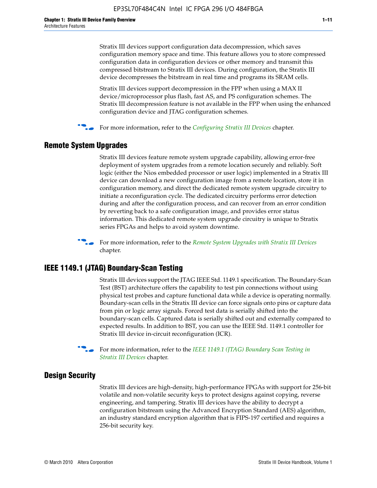Stratix III devices support configuration data decompression, which saves configuration memory space and time. This feature allows you to store compressed configuration data in configuration devices or other memory and transmit this compressed bitstream to Stratix III devices. During configuration, the Stratix III device decompresses the bitstream in real time and programs its SRAM cells.

Stratix III devices support decompression in the FPP when using a MAX II device/microprocessor plus flash, fast AS, and PS configuration schemes. The Stratix III decompression feature is not available in the FPP when using the enhanced configuration device and JTAG configuration schemes.

For more information, refer to the *[Configuring Stratix III Devices](http://www.altera.com/literature/hb/stx3/stx3_siii51011.pdf)* chapter.

## **Remote System Upgrades**

Stratix III devices feature remote system upgrade capability, allowing error-free deployment of system upgrades from a remote location securely and reliably. Soft logic (either the Nios embedded processor or user logic) implemented in a Stratix III device can download a new configuration image from a remote location, store it in configuration memory, and direct the dedicated remote system upgrade circuitry to initiate a reconfiguration cycle. The dedicated circuitry performs error detection during and after the configuration process, and can recover from an error condition by reverting back to a safe configuration image, and provides error status information. This dedicated remote system upgrade circuitry is unique to Stratix series FPGAs and helps to avoid system downtime.



**For more information, refer to the** *[Remote System Upgrades with Stratix III Devices](http://www.altera.com/literature/hb/stx3/stx3_siii51012.pdf)* chapter.

## **IEEE 1149.1 (JTAG) Boundary-Scan Testing**

Stratix III devices support the JTAG IEEE Std. 1149.1 specification. The Boundary-Scan Test (BST) architecture offers the capability to test pin connections without using physical test probes and capture functional data while a device is operating normally. Boundary-scan cells in the Stratix III device can force signals onto pins or capture data from pin or logic array signals. Forced test data is serially shifted into the boundary-scan cells. Captured data is serially shifted out and externally compared to expected results. In addition to BST, you can use the IEEE Std. 1149.1 controller for Stratix III device in-circuit reconfiguration (ICR).

For more information, refer to the *IEEE 1149.1 (JTAG) Boundary Scan Testing in [Stratix III Devices](http://www.altera.com/literature/hb/stx3/stx3_siii51013.pdf)* chapter.

## **Design Security**

Stratix III devices are high-density, high-performance FPGAs with support for 256-bit volatile and non-volatile security keys to protect designs against copying, reverse engineering, and tampering. Stratix III devices have the ability to decrypt a configuration bitstream using the Advanced Encryption Standard (AES) algorithm, an industry standard encryption algorithm that is FIPS-197 certified and requires a 256-bit security key.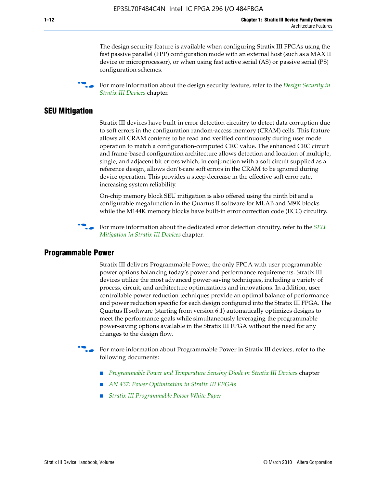The design security feature is available when configuring Stratix III FPGAs using the fast passive parallel (FPP) configuration mode with an external host (such as a MAX II device or microprocessor), or when using fast active serial (AS) or passive serial (PS) configuration schemes.

f For more information about the design security feature, refer to the *[Design Security in](http://www.altera.com/literature/hb/stx3/stx3_siii51014.pdf)  [Stratix III Devices](http://www.altera.com/literature/hb/stx3/stx3_siii51014.pdf)* chapter.

## **SEU Mitigation**

Stratix III devices have built-in error detection circuitry to detect data corruption due to soft errors in the configuration random-access memory (CRAM) cells. This feature allows all CRAM contents to be read and verified continuously during user mode operation to match a configuration-computed CRC value. The enhanced CRC circuit and frame-based configuration architecture allows detection and location of multiple, single, and adjacent bit errors which, in conjunction with a soft circuit supplied as a reference design, allows don't-care soft errors in the CRAM to be ignored during device operation. This provides a steep decrease in the effective soft error rate, increasing system reliability.

On-chip memory block SEU mitigation is also offered using the ninth bit and a configurable megafunction in the Quartus II software for MLAB and M9K blocks while the M144K memory blocks have built-in error correction code (ECC) circuitry.

For more information about the dedicated error detection circuitry, refer to the *SEU [Mitigation in Stratix III Devices](http://www.altera.com/literature/hb/stx3/stx3_siii51015.pdf)* chapter.

#### **Programmable Power**

Stratix III delivers Programmable Power, the only FPGA with user programmable power options balancing today's power and performance requirements. Stratix III devices utilize the most advanced power-saving techniques, including a variety of process, circuit, and architecture optimizations and innovations. In addition, user controllable power reduction techniques provide an optimal balance of performance and power reduction specific for each design configured into the Stratix III FPGA. The Quartus II software (starting from version 6.1) automatically optimizes designs to meet the performance goals while simultaneously leveraging the programmable power-saving options available in the Stratix III FPGA without the need for any changes to the design flow.

For more information about Programmable Power in Stratix III devices, refer to the following documents:

- *[Programmable Power and Temperature Sensing Diode in Stratix III Devices](http://www.altera.com/literature/hb/stx3/stx3_siii51016.pdf)* chapter
- *[AN 437: Power Optimization in Stratix III FPGAs](http://www.altera.com/literature/an/AN437.pdf)*
- *[Stratix III Programmable Power White Paper](http://www.altera.com/literature/wp/wp-01006.pdf)*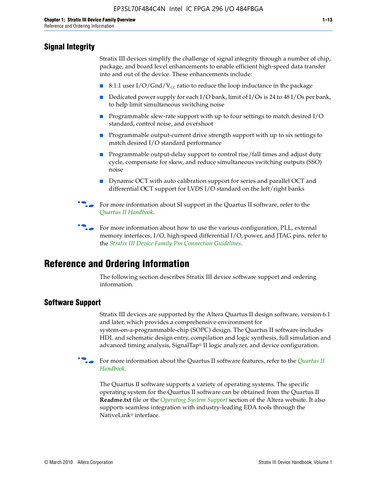## **Signal Integrity**

Stratix III devices simplify the challenge of signal integrity through a number of chip, package, and board level enhancements to enable efficient high-speed data transfer into and out of the device. These enhancements include:

- 8:1:1 user I/O/Gnd/V<sub>cc</sub> ratio to reduce the loop inductance in the package
- Dedicated power supply for each I/O bank, limit of I/Os is 24 to 48 I/Os per bank, to help limit simultaneous switching noise
- Programmable slew-rate support with up to four settings to match desired I/O standard, control noise, and overshoot
- Programmable output-current drive strength support with up to six settings to match desired I/O standard performance
- Programmable output-delay support to control rise/fall times and adjust duty cycle, compensate for skew, and reduce simultaneous switching outputs (SSO) noise
- Dynamic OCT with auto calibration support for series and parallel OCT and differential OCT support for LVDS I/O standard on the left/right banks
- For mor[e](http://www.altera.com/literature/hb/qts/quartusii_handbook.pdf) information about SI support in the Quartus II software, refer to the *[Quartus II Handbook](http://www.altera.com/literature/hb/qts/quartusii_handbook.pdf)*.

For more information about how to use the various configuration, PLL, external memory interfaces, I/O, high-speed differential I/O, power, and JTAG pins, refer to the *[Stratix III Device Family Pin Connection Guidelines](http://www.altera.com/literature/dp/stx3/PCG-01004.pdf)*.

# **Reference and Ordering Information**

The following section describes Stratix III device software support and ordering information.

## **Software Support**

Stratix III devices are supported by the Altera Quartus II design software, version 6.1 and later, which provides a comprehensive environment for system-on-a-programmable-chip (SOPC) design. The Quartus II software includes HDL and schematic design entry, compilation and logic synthesis, full simulation and advanced timing analysis, SignalTap® II logic analyzer, and device configuration.

**for more information about the [Quartus II](http://www.altera.com/literature/hb/qts/quartusii_handbook.pdf) software features, refer to the** *Quartus II* **<b>For all 2** *[Handbook](http://www.altera.com/literature/hb/qts/quartusii_handbook.pdf)*.

The Quartus II software supports a variety of operating systems. The specific operating system for the Quartus II software can be obtained from the Quartus II **Readme.txt** file or the *[Operating System Support](http://www.altera.com/support/software/os_support/oss-index.html)* section of the Altera website. It also supports seamless integration with industry-leading EDA tools through the NativeLink® interface.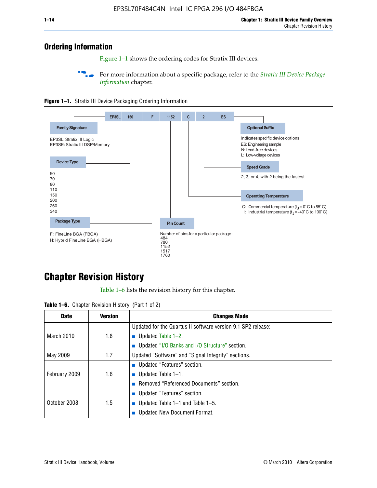## **Ordering Information**

Figure 1–1 shows the ordering codes for Stratix III devices.

For more information about a specific package, refer to the *Stratix III Device Package [Information](http://www.altera.com/literature/hb/stx3/stx3_siii51017.pdf)* chapter.





# **[C](http://www.altera.com/literature/hb/stx3/stx3_siii51012.pdf)hapter Revision History**

Table 1–6 lists the revision history for this chapter.

| <b>Table 1–6.</b> Chapter Revision History (Part 1 of 2) |  |  |  |  |  |
|----------------------------------------------------------|--|--|--|--|--|
|----------------------------------------------------------|--|--|--|--|--|

| <b>Date</b>       | <b>Version</b> | <b>Changes Made</b>                                          |
|-------------------|----------------|--------------------------------------------------------------|
|                   |                | Updated for the Quartus II software version 9.1 SP2 release: |
| <b>March 2010</b> | 1.8            | <b>u</b> Updated Table $1-2$ .                               |
|                   |                | ■ Updated "I/O Banks and I/O Structure" section.             |
| May 2009          | 1.7            | Updated "Software" and "Signal Integrity" sections.          |
|                   |                | Updated "Features" section.                                  |
| February 2009     | 1.6            | <b>u</b> Updated Table $1-1$ .                               |
|                   |                | Removed "Referenced Documents" section.                      |
|                   |                | ■ Updated "Features" section.                                |
| October 2008      | 1.5            | ■ Updated Table 1–1 and Table 1–5.                           |
|                   |                | <b>Updated New Document Format.</b>                          |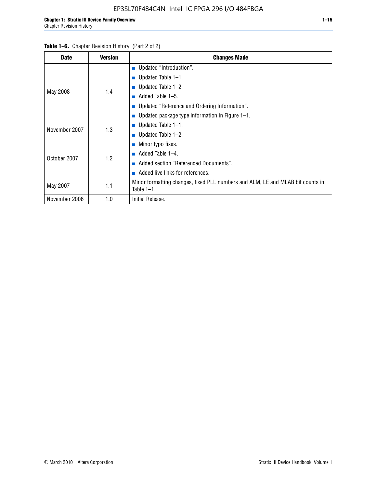#### Table 1–6. Chapter Revision History (Part 2 of 2)

| <b>Date</b>   | <b>Version</b> | <b>Changes Made</b>                                                                             |
|---------------|----------------|-------------------------------------------------------------------------------------------------|
|               |                | <b>Updated "Introduction".</b>                                                                  |
|               |                | ■ Updated Table $1-1$ .                                                                         |
|               |                | ■ Updated Table $1-2$ .                                                                         |
| May 2008      | 1.4            | Added Table 1-5.<br>$\blacksquare$                                                              |
|               |                | ■ Updated "Reference and Ordering Information".                                                 |
|               |                | ■ Updated package type information in Figure $1-1$ .                                            |
|               | 1.3            | ■ Updated Table $1-1$ .                                                                         |
| November 2007 |                | ■ Updated Table $1-2$ .                                                                         |
|               |                | ■ Minor typo fixes.                                                                             |
| October 2007  |                | Added Table 1-4.                                                                                |
|               | 1.2            | Added section "Referenced Documents".                                                           |
|               |                | Added live links for references.                                                                |
| May 2007      | 1.1            | Minor formatting changes, fixed PLL numbers and ALM, LE and MLAB bit counts in<br>Table $1-1$ . |
| November 2006 | 1.0            | Initial Release.                                                                                |